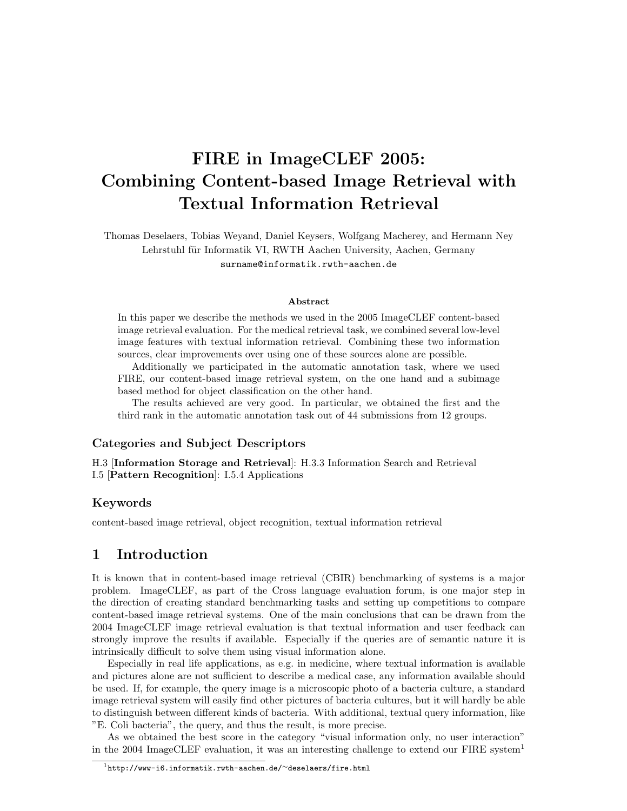# FIRE in ImageCLEF 2005: Combining Content-based Image Retrieval with Textual Information Retrieval

Thomas Deselaers, Tobias Weyand, Daniel Keysers, Wolfgang Macherey, and Hermann Ney Lehrstuhl für Informatik VI, RWTH Aachen University, Aachen, Germany surname@informatik.rwth-aachen.de

#### Abstract

In this paper we describe the methods we used in the 2005 ImageCLEF content-based image retrieval evaluation. For the medical retrieval task, we combined several low-level image features with textual information retrieval. Combining these two information sources, clear improvements over using one of these sources alone are possible.

Additionally we participated in the automatic annotation task, where we used FIRE, our content-based image retrieval system, on the one hand and a subimage based method for object classification on the other hand.

The results achieved are very good. In particular, we obtained the first and the third rank in the automatic annotation task out of 44 submissions from 12 groups.

#### Categories and Subject Descriptors

H.3 [Information Storage and Retrieval]: H.3.3 Information Search and Retrieval I.5 [Pattern Recognition]: I.5.4 Applications

#### Keywords

content-based image retrieval, object recognition, textual information retrieval

# 1 Introduction

It is known that in content-based image retrieval (CBIR) benchmarking of systems is a major problem. ImageCLEF, as part of the Cross language evaluation forum, is one major step in the direction of creating standard benchmarking tasks and setting up competitions to compare content-based image retrieval systems. One of the main conclusions that can be drawn from the 2004 ImageCLEF image retrieval evaluation is that textual information and user feedback can strongly improve the results if available. Especially if the queries are of semantic nature it is intrinsically difficult to solve them using visual information alone.

Especially in real life applications, as e.g. in medicine, where textual information is available and pictures alone are not sufficient to describe a medical case, any information available should be used. If, for example, the query image is a microscopic photo of a bacteria culture, a standard image retrieval system will easily find other pictures of bacteria cultures, but it will hardly be able to distinguish between different kinds of bacteria. With additional, textual query information, like "E. Coli bacteria", the query, and thus the result, is more precise.

As we obtained the best score in the category "visual information only, no user interaction" in the 2004 ImageCLEF evaluation, it was an interesting challenge to extend our FIRE system<sup>1</sup>

<sup>1</sup>http://www-i6.informatik.rwth-aachen.de/∼deselaers/fire.html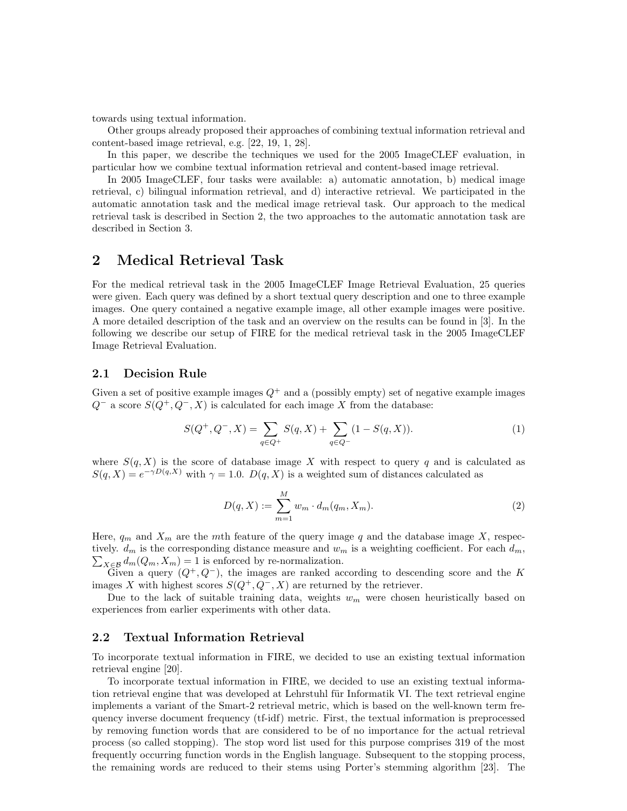towards using textual information.

Other groups already proposed their approaches of combining textual information retrieval and content-based image retrieval, e.g. [22, 19, 1, 28].

In this paper, we describe the techniques we used for the 2005 ImageCLEF evaluation, in particular how we combine textual information retrieval and content-based image retrieval.

In 2005 ImageCLEF, four tasks were available: a) automatic annotation, b) medical image retrieval, c) bilingual information retrieval, and d) interactive retrieval. We participated in the automatic annotation task and the medical image retrieval task. Our approach to the medical retrieval task is described in Section 2, the two approaches to the automatic annotation task are described in Section 3.

### 2 Medical Retrieval Task

For the medical retrieval task in the 2005 ImageCLEF Image Retrieval Evaluation, 25 queries were given. Each query was defined by a short textual query description and one to three example images. One query contained a negative example image, all other example images were positive. A more detailed description of the task and an overview on the results can be found in [3]. In the following we describe our setup of FIRE for the medical retrieval task in the 2005 ImageCLEF Image Retrieval Evaluation.

#### 2.1 Decision Rule

Given a set of positive example images  $Q^+$  and a (possibly empty) set of negative example images  $Q^-$  a score  $S(Q^+, Q^-, X)$  is calculated for each image X from the database:

$$
S(Q^+, Q^-, X) = \sum_{q \in Q^+} S(q, X) + \sum_{q \in Q^-} (1 - S(q, X)).
$$
\n(1)

where  $S(q, X)$  is the score of database image X with respect to query q and is calculated as  $S(q, X) = e^{-\gamma D(q, X)}$  with  $\gamma = 1.0$ .  $D(q, X)$  is a weighted sum of distances calculated as

$$
D(q, X) := \sum_{m=1}^{M} w_m \cdot d_m(q_m, X_m).
$$
 (2)

Here,  $q_m$  and  $X_m$  are the mth feature of the query image q and the database image X, respec- $\sum_{X \in \mathcal{B}} d_m(Q_m, X_m) = 1$  is enforced by re-normalization. tively.  $d_m$  is the corresponding distance measure and  $w_m$  is a weighting coefficient. For each  $d_m$ ,

Given a query  $(Q^+, Q^-)$ , the images are ranked according to descending score and the K images X with highest scores  $S(Q^+, Q^-, X)$  are returned by the retriever.

Due to the lack of suitable training data, weights  $w_m$  were chosen heuristically based on experiences from earlier experiments with other data.

#### 2.2 Textual Information Retrieval

To incorporate textual information in FIRE, we decided to use an existing textual information retrieval engine [20].

To incorporate textual information in FIRE, we decided to use an existing textual information retrieval engine that was developed at Lehrstuhl für Informatik VI. The text retrieval engine implements a variant of the Smart-2 retrieval metric, which is based on the well-known term frequency inverse document frequency (tf-idf) metric. First, the textual information is preprocessed by removing function words that are considered to be of no importance for the actual retrieval process (so called stopping). The stop word list used for this purpose comprises 319 of the most frequently occurring function words in the English language. Subsequent to the stopping process, the remaining words are reduced to their stems using Porter's stemming algorithm [23]. The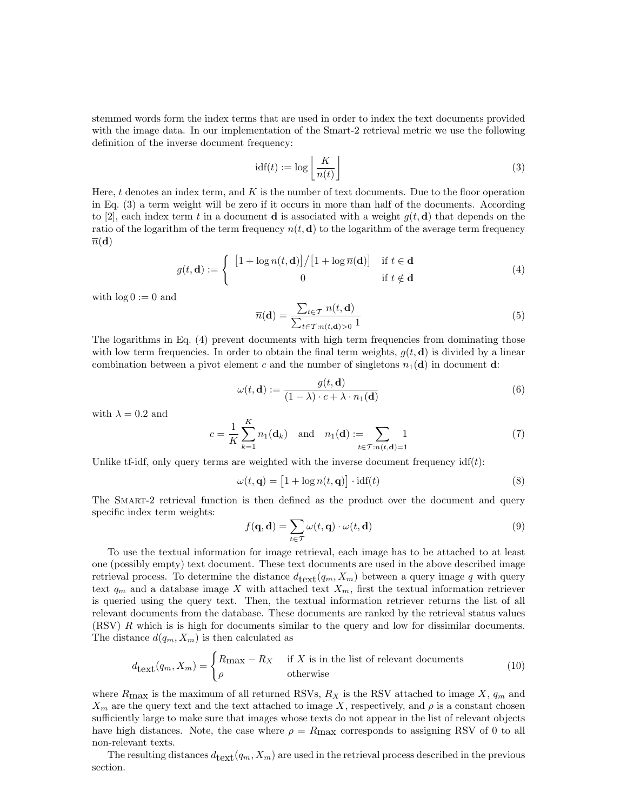stemmed words form the index terms that are used in order to index the text documents provided with the image data. In our implementation of the Smart-2 retrieval metric we use the following definition of the inverse document frequency:

$$
idf(t) := \log \left\lfloor \frac{K}{n(t)} \right\rfloor \tag{3}
$$

Here,  $t$  denotes an index term, and  $K$  is the number of text documents. Due to the floor operation in Eq. (3) a term weight will be zero if it occurs in more than half of the documents. According to [2], each index term t in a document **d** is associated with a weight  $q(t, d)$  that depends on the ratio of the logarithm of the term frequency  $n(t, d)$  to the logarithm of the average term frequency  $\overline{n}(\mathbf{d})$ 

$$
g(t, \mathbf{d}) := \begin{cases} \begin{array}{c} \left[1 + \log n(t, \mathbf{d})\right] / \left[1 + \log \overline{n}(\mathbf{d})\right] & \text{if } t \in \mathbf{d} \\ 0 & \text{if } t \notin \mathbf{d} \end{array} \end{cases} \tag{4}
$$

with  $\log 0 := 0$  and

$$
\overline{n}(\mathbf{d}) = \frac{\sum_{t \in \mathcal{T}} n(t, \mathbf{d})}{\sum_{t \in \mathcal{T}: n(t, \mathbf{d}) > 0} 1}
$$
(5)

The logarithms in Eq. (4) prevent documents with high term frequencies from dominating those with low term frequencies. In order to obtain the final term weights,  $g(t, d)$  is divided by a linear combination between a pivot element c and the number of singletons  $n_1(\mathbf{d})$  in document **d**:

$$
\omega(t, \mathbf{d}) := \frac{g(t, \mathbf{d})}{(1 - \lambda) \cdot c + \lambda \cdot n_1(\mathbf{d})}
$$
(6)

with  $\lambda = 0.2$  and

$$
c = \frac{1}{K} \sum_{k=1}^{K} n_1(\mathbf{d}_k) \text{ and } n_1(\mathbf{d}) := \sum_{t \in \mathcal{T}: n(t, \mathbf{d}) = 1} 1 \tag{7}
$$

Unlike tf-idf, only query terms are weighted with the inverse document frequency  $\text{id}(t)$ :

$$
\omega(t, \mathbf{q}) = [1 + \log n(t, \mathbf{q})] \cdot \text{idf}(t)
$$
\n(8)

The SMART-2 retrieval function is then defined as the product over the document and query specific index term weights:

$$
f(\mathbf{q}, \mathbf{d}) = \sum_{t \in \mathcal{T}} \omega(t, \mathbf{q}) \cdot \omega(t, \mathbf{d})
$$
\n(9)

To use the textual information for image retrieval, each image has to be attached to at least one (possibly empty) text document. These text documents are used in the above described image retrieval process. To determine the distance  $d_{\text{text}}(q_m, X_m)$  between a query image q with query text  $q_m$  and a database image X with attached text  $X_m$ , first the textual information retriever is queried using the query text. Then, the textual information retriever returns the list of all relevant documents from the database. These documents are ranked by the retrieval status values (RSV) R which is is high for documents similar to the query and low for dissimilar documents. The distance  $d(q_m, X_m)$  is then calculated as

$$
d_{\text{text}}(q_m, X_m) = \begin{cases} R_{\text{max}} - R_X & \text{if } X \text{ is in the list of relevant documents} \\ \rho & \text{otherwise} \end{cases}
$$
(10)

where  $R_{\text{max}}$  is the maximum of all returned RSVs,  $R_X$  is the RSV attached to image X,  $q_m$  and  $X_m$  are the query text and the text attached to image X, respectively, and  $\rho$  is a constant chosen sufficiently large to make sure that images whose texts do not appear in the list of relevant objects have high distances. Note, the case where  $\rho = R_{\text{max}}$  corresponds to assigning RSV of 0 to all non-relevant texts.

The resulting distances  $d_{\text{text}}(q_m, X_m)$  are used in the retrieval process described in the previous section.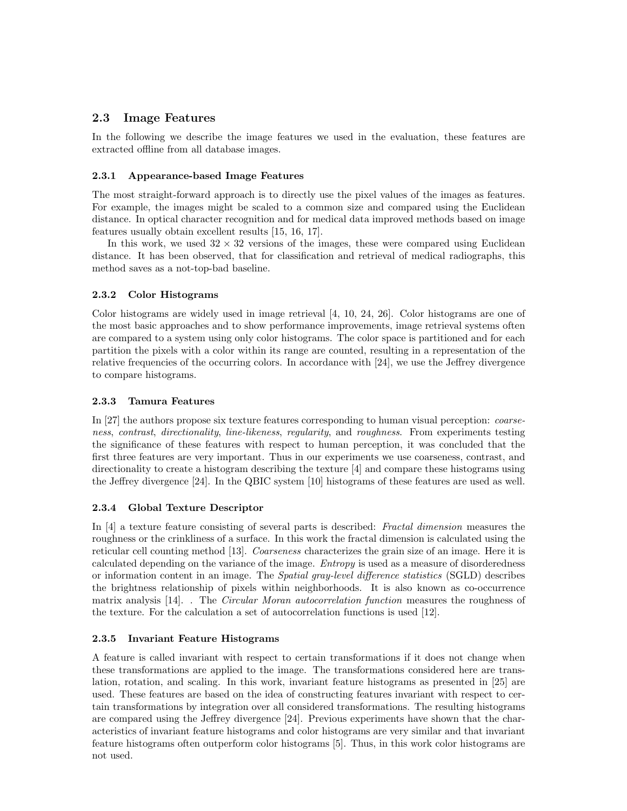#### 2.3 Image Features

In the following we describe the image features we used in the evaluation, these features are extracted offline from all database images.

#### 2.3.1 Appearance-based Image Features

The most straight-forward approach is to directly use the pixel values of the images as features. For example, the images might be scaled to a common size and compared using the Euclidean distance. In optical character recognition and for medical data improved methods based on image features usually obtain excellent results [15, 16, 17].

In this work, we used  $32 \times 32$  versions of the images, these were compared using Euclidean distance. It has been observed, that for classification and retrieval of medical radiographs, this method saves as a not-top-bad baseline.

#### 2.3.2 Color Histograms

Color histograms are widely used in image retrieval [4, 10, 24, 26]. Color histograms are one of the most basic approaches and to show performance improvements, image retrieval systems often are compared to a system using only color histograms. The color space is partitioned and for each partition the pixels with a color within its range are counted, resulting in a representation of the relative frequencies of the occurring colors. In accordance with [24], we use the Jeffrey divergence to compare histograms.

#### 2.3.3 Tamura Features

In [27] the authors propose six texture features corresponding to human visual perception: coarseness, contrast, directionality, line-likeness, regularity, and roughness. From experiments testing the significance of these features with respect to human perception, it was concluded that the first three features are very important. Thus in our experiments we use coarseness, contrast, and directionality to create a histogram describing the texture [4] and compare these histograms using the Jeffrey divergence [24]. In the QBIC system [10] histograms of these features are used as well.

#### 2.3.4 Global Texture Descriptor

In [4] a texture feature consisting of several parts is described: Fractal dimension measures the roughness or the crinkliness of a surface. In this work the fractal dimension is calculated using the reticular cell counting method [13]. Coarseness characterizes the grain size of an image. Here it is calculated depending on the variance of the image. Entropy is used as a measure of disorderedness or information content in an image. The Spatial gray-level difference statistics (SGLD) describes the brightness relationship of pixels within neighborhoods. It is also known as co-occurrence matrix analysis [14]. . The *Circular Moran autocorrelation function* measures the roughness of the texture. For the calculation a set of autocorrelation functions is used [12].

#### 2.3.5 Invariant Feature Histograms

A feature is called invariant with respect to certain transformations if it does not change when these transformations are applied to the image. The transformations considered here are translation, rotation, and scaling. In this work, invariant feature histograms as presented in [25] are used. These features are based on the idea of constructing features invariant with respect to certain transformations by integration over all considered transformations. The resulting histograms are compared using the Jeffrey divergence [24]. Previous experiments have shown that the characteristics of invariant feature histograms and color histograms are very similar and that invariant feature histograms often outperform color histograms [5]. Thus, in this work color histograms are not used.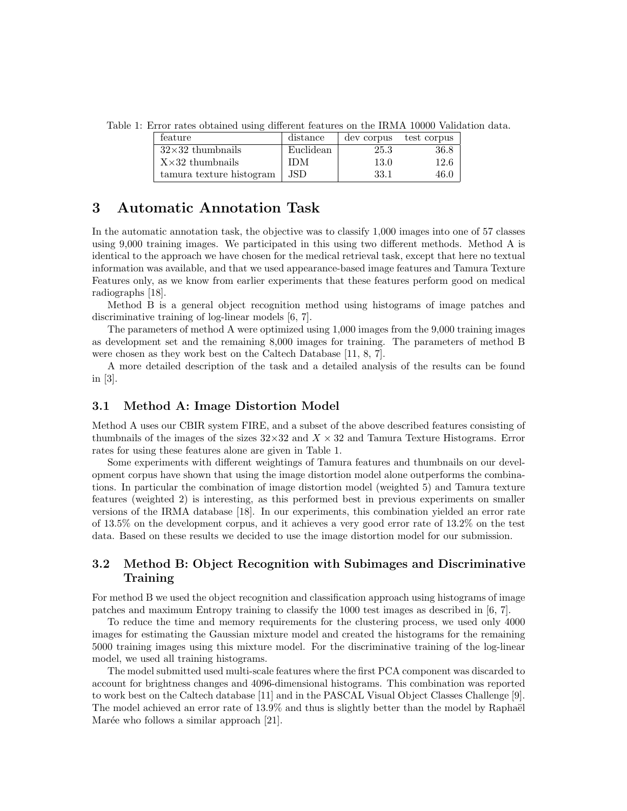Table 1: Error rates obtained using different features on the IRMA 10000 Validation data.

| feature                  | distance  | dev corpus | test corpus |
|--------------------------|-----------|------------|-------------|
| $32\times32$ thumbnails  | Euclidean | 25.3       | $36.8\,$    |
| $X \times 32$ thumbnails | IDM       | 13.0       | 12.6        |
| tamura texture histogram | .JSD      | 33.1       | 46.0        |

### 3 Automatic Annotation Task

In the automatic annotation task, the objective was to classify 1,000 images into one of 57 classes using 9,000 training images. We participated in this using two different methods. Method A is identical to the approach we have chosen for the medical retrieval task, except that here no textual information was available, and that we used appearance-based image features and Tamura Texture Features only, as we know from earlier experiments that these features perform good on medical radiographs [18].

Method B is a general object recognition method using histograms of image patches and discriminative training of log-linear models [6, 7].

The parameters of method A were optimized using 1,000 images from the 9,000 training images as development set and the remaining 8,000 images for training. The parameters of method B were chosen as they work best on the Caltech Database [11, 8, 7].

A more detailed description of the task and a detailed analysis of the results can be found in [3].

#### 3.1 Method A: Image Distortion Model

Method A uses our CBIR system FIRE, and a subset of the above described features consisting of thumbnails of the images of the sizes  $32\times32$  and  $X\times32$  and Tamura Texture Histograms. Error rates for using these features alone are given in Table 1.

Some experiments with different weightings of Tamura features and thumbnails on our development corpus have shown that using the image distortion model alone outperforms the combinations. In particular the combination of image distortion model (weighted 5) and Tamura texture features (weighted 2) is interesting, as this performed best in previous experiments on smaller versions of the IRMA database [18]. In our experiments, this combination yielded an error rate of 13.5% on the development corpus, and it achieves a very good error rate of 13.2% on the test data. Based on these results we decided to use the image distortion model for our submission.

#### 3.2 Method B: Object Recognition with Subimages and Discriminative Training

For method B we used the object recognition and classification approach using histograms of image patches and maximum Entropy training to classify the 1000 test images as described in [6, 7].

To reduce the time and memory requirements for the clustering process, we used only 4000 images for estimating the Gaussian mixture model and created the histograms for the remaining 5000 training images using this mixture model. For the discriminative training of the log-linear model, we used all training histograms.

The model submitted used multi-scale features where the first PCA component was discarded to account for brightness changes and 4096-dimensional histograms. This combination was reported to work best on the Caltech database [11] and in the PASCAL Visual Object Classes Challenge [9]. The model achieved an error rate of  $13.9\%$  and thus is slightly better than the model by Raphaël Marée who follows a similar approach [21].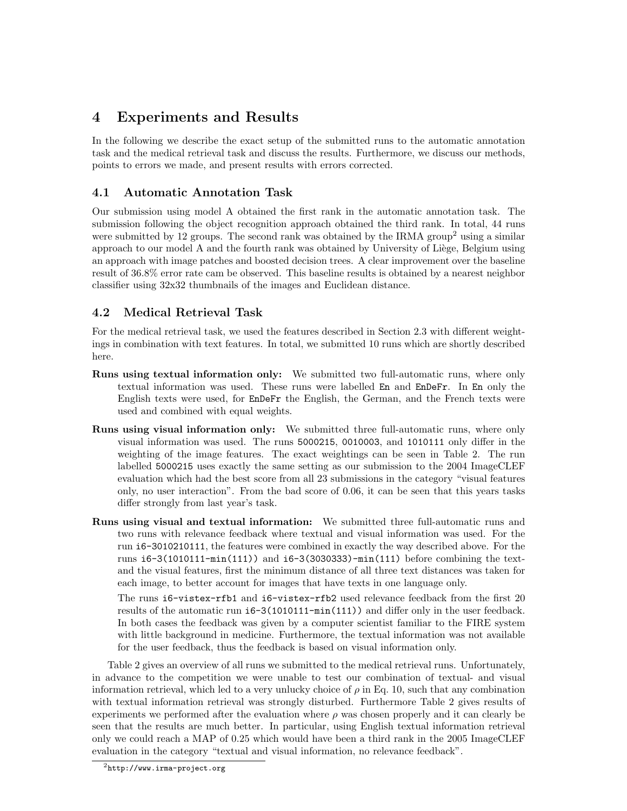# 4 Experiments and Results

In the following we describe the exact setup of the submitted runs to the automatic annotation task and the medical retrieval task and discuss the results. Furthermore, we discuss our methods, points to errors we made, and present results with errors corrected.

## 4.1 Automatic Annotation Task

Our submission using model A obtained the first rank in the automatic annotation task. The submission following the object recognition approach obtained the third rank. In total, 44 runs were submitted by 12 groups. The second rank was obtained by the IRMA group<sup>2</sup> using a similar approach to our model A and the fourth rank was obtained by University of Liège, Belgium using an approach with image patches and boosted decision trees. A clear improvement over the baseline result of 36.8% error rate cam be observed. This baseline results is obtained by a nearest neighbor classifier using 32x32 thumbnails of the images and Euclidean distance.

# 4.2 Medical Retrieval Task

For the medical retrieval task, we used the features described in Section 2.3 with different weightings in combination with text features. In total, we submitted 10 runs which are shortly described here.

- Runs using textual information only: We submitted two full-automatic runs, where only textual information was used. These runs were labelled En and EnDeFr. In En only the English texts were used, for EnDeFr the English, the German, and the French texts were used and combined with equal weights.
- Runs using visual information only: We submitted three full-automatic runs, where only visual information was used. The runs 5000215, 0010003, and 1010111 only differ in the weighting of the image features. The exact weightings can be seen in Table 2. The run labelled 5000215 uses exactly the same setting as our submission to the 2004 ImageCLEF evaluation which had the best score from all 23 submissions in the category "visual features only, no user interaction". From the bad score of 0.06, it can be seen that this years tasks differ strongly from last year's task.
- Runs using visual and textual information: We submitted three full-automatic runs and two runs with relevance feedback where textual and visual information was used. For the run i6-3010210111, the features were combined in exactly the way described above. For the runs i6-3(1010111-min(111)) and i6-3(3030333)-min(111) before combining the textand the visual features, first the minimum distance of all three text distances was taken for each image, to better account for images that have texts in one language only.

The runs i6-vistex-rfb1 and i6-vistex-rfb2 used relevance feedback from the first 20 results of the automatic run i6-3(1010111-min(111)) and differ only in the user feedback. In both cases the feedback was given by a computer scientist familiar to the FIRE system with little background in medicine. Furthermore, the textual information was not available for the user feedback, thus the feedback is based on visual information only.

Table 2 gives an overview of all runs we submitted to the medical retrieval runs. Unfortunately, in advance to the competition we were unable to test our combination of textual- and visual information retrieval, which led to a very unlucky choice of  $\rho$  in Eq. 10, such that any combination with textual information retrieval was strongly disturbed. Furthermore Table 2 gives results of experiments we performed after the evaluation where  $\rho$  was chosen properly and it can clearly be seen that the results are much better. In particular, using English textual information retrieval only we could reach a MAP of 0.25 which would have been a third rank in the 2005 ImageCLEF evaluation in the category "textual and visual information, no relevance feedback".

 $^{2}$ http://www.irma-project.org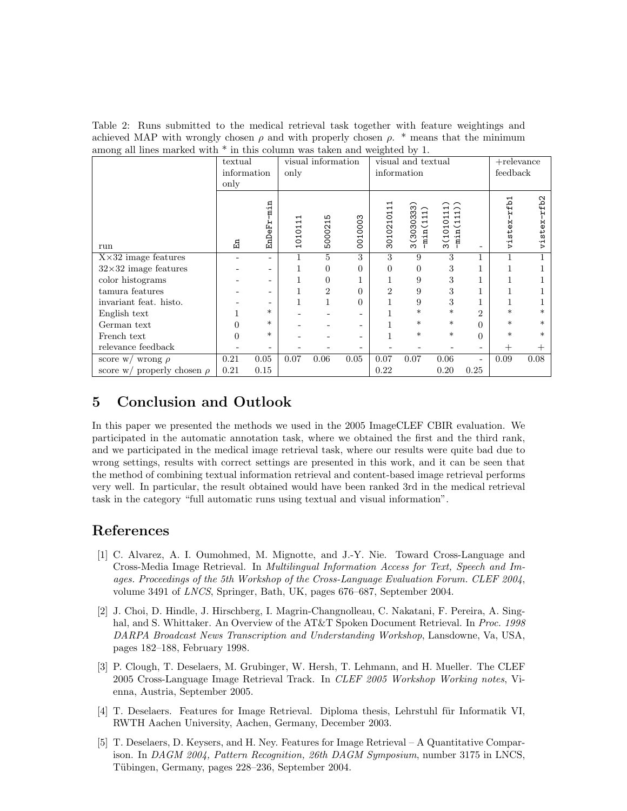Table 2: Runs submitted to the medical retrieval task together with feature weightings and achieved MAP with wrongly chosen  $\rho$  and with properly chosen  $\rho$ . \* means that the minimum among all lines marked with \* in this column was taken and weighted by 1.

|                                 | ັ<br>textual |                              | visual information         |                         | ັ<br>visual and textual |                                 |                                                                                   | $+$ relevance                                                                                                                                                                                                |                          |                   |                          |
|---------------------------------|--------------|------------------------------|----------------------------|-------------------------|-------------------------|---------------------------------|-----------------------------------------------------------------------------------|--------------------------------------------------------------------------------------------------------------------------------------------------------------------------------------------------------------|--------------------------|-------------------|--------------------------|
|                                 | information  |                              | only                       |                         | information             |                                 |                                                                                   | feedback                                                                                                                                                                                                     |                          |                   |                          |
|                                 | only         |                              |                            |                         |                         |                                 |                                                                                   |                                                                                                                                                                                                              |                          |                   |                          |
| run                             | 띰            | min<br>н<br>نبا<br>ម្ម<br>មា | ⊣<br>$\mathbf{r}$<br>10101 | Б<br>$\vec{ }$<br>50002 | 0010003                 | ⊣<br>$\overline{ }$<br>30102101 | ္က<br>ო<br>⊣<br>3(30303<br>$\overline{ }$<br>$\overline{ }$<br>$\check{ }$<br>min | ⌒<br>$\overline{\phantom{0}}$<br>⊣<br>$\mathbf{H}$<br>$\mathbf{\mathbf{\mathbf{\mathbf{\mathbf{\mathbf{\mathbf{\mathbf{+}}}}}}}$<br>3(10101<br>$\mathbf{\mathbf{t}}$<br>$\ddot{ }$<br>$\check{ }$<br>Ę.<br>Ë |                          | rfb1<br>stex<br>Ę | £b2<br>×<br>Φ<br>āج<br>Ė |
| $X \times 32$ image features    |              |                              | 1                          | 5                       | 3                       | 3                               | 9                                                                                 | 3                                                                                                                                                                                                            |                          | 1                 |                          |
| $32\times32$ image features     |              |                              | 1                          | 0                       | $\theta$                | $\overline{0}$                  | 0                                                                                 | 3                                                                                                                                                                                                            |                          | 1                 |                          |
| color histograms                |              |                              |                            | $\overline{0}$          |                         |                                 | 9                                                                                 | 3                                                                                                                                                                                                            |                          | T                 |                          |
| tamura features                 |              |                              |                            | $\overline{2}$          | $\theta$                | 2                               | 9                                                                                 | 3                                                                                                                                                                                                            |                          | T                 |                          |
| invariant feat. histo.          |              |                              |                            | $\mathbf{1}$            | $\theta$                | 1                               | 9                                                                                 | 3                                                                                                                                                                                                            |                          | 1                 |                          |
| English text                    |              | $\ast$                       |                            |                         |                         |                                 | $\ast$                                                                            | $\ast$                                                                                                                                                                                                       | 2                        | *                 | $^\ast$                  |
| German text                     |              | $\ast$                       |                            |                         | ٠                       |                                 | $\ast$                                                                            | $\ast$                                                                                                                                                                                                       | 0                        | *                 | $\ast$                   |
| French text                     |              | $\ast$                       |                            |                         |                         |                                 | $\ast$                                                                            | $\ast$                                                                                                                                                                                                       | 0                        | $\ast$            | $\ast$                   |
| relevance feedback              |              |                              |                            |                         |                         |                                 |                                                                                   |                                                                                                                                                                                                              |                          | $^+$              |                          |
| score w/ wrong $\rho$           | 0.21         | 0.05                         | 0.07                       | 0.06                    | 0.05                    | 0.07                            | 0.07                                                                              | 0.06                                                                                                                                                                                                         | $\overline{\phantom{a}}$ | 0.09              | 0.08                     |
| score w/ properly chosen $\rho$ | 0.21         | 0.15                         |                            |                         |                         | 0.22                            |                                                                                   | 0.20                                                                                                                                                                                                         | 0.25                     |                   |                          |

# 5 Conclusion and Outlook

In this paper we presented the methods we used in the 2005 ImageCLEF CBIR evaluation. We participated in the automatic annotation task, where we obtained the first and the third rank, and we participated in the medical image retrieval task, where our results were quite bad due to wrong settings, results with correct settings are presented in this work, and it can be seen that the method of combining textual information retrieval and content-based image retrieval performs very well. In particular, the result obtained would have been ranked 3rd in the medical retrieval task in the category "full automatic runs using textual and visual information".

# References

- [1] C. Alvarez, A. I. Oumohmed, M. Mignotte, and J.-Y. Nie. Toward Cross-Language and Cross-Media Image Retrieval. In Multilingual Information Access for Text, Speech and Images. Proceedings of the 5th Workshop of the Cross-Language Evaluation Forum. CLEF 2004, volume 3491 of LNCS, Springer, Bath, UK, pages 676–687, September 2004.
- [2] J. Choi, D. Hindle, J. Hirschberg, I. Magrin-Changnolleau, C. Nakatani, F. Pereira, A. Singhal, and S. Whittaker. An Overview of the AT&T Spoken Document Retrieval. In Proc. 1998 DARPA Broadcast News Transcription and Understanding Workshop, Lansdowne, Va, USA, pages 182–188, February 1998.
- [3] P. Clough, T. Deselaers, M. Grubinger, W. Hersh, T. Lehmann, and H. Mueller. The CLEF 2005 Cross-Language Image Retrieval Track. In CLEF 2005 Workshop Working notes, Vienna, Austria, September 2005.
- [4] T. Deselaers. Features for Image Retrieval. Diploma thesis, Lehrstuhl für Informatik VI, RWTH Aachen University, Aachen, Germany, December 2003.
- [5] T. Deselaers, D. Keysers, and H. Ney. Features for Image Retrieval A Quantitative Comparison. In DAGM 2004, Pattern Recognition, 26th DAGM Symposium, number 3175 in LNCS, Tübingen, Germany, pages 228–236, September 2004.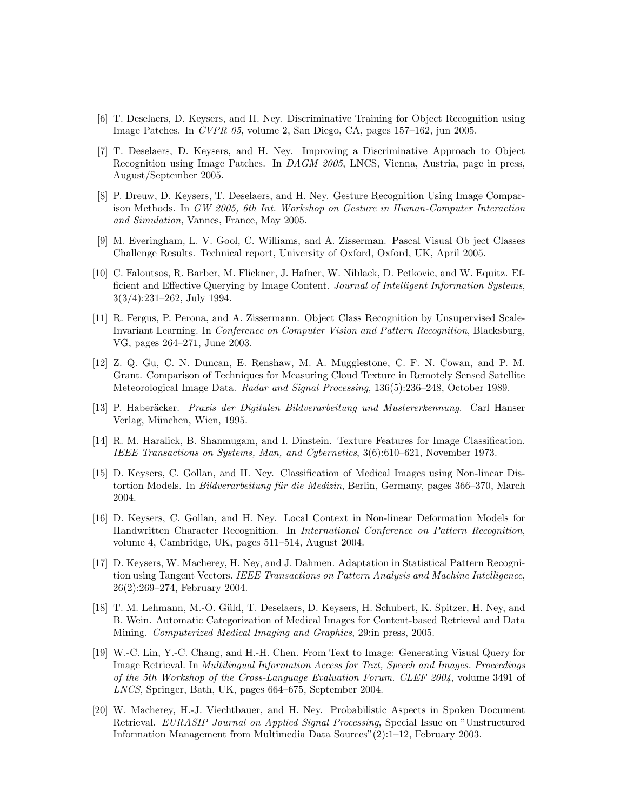- [6] T. Deselaers, D. Keysers, and H. Ney. Discriminative Training for Object Recognition using Image Patches. In CVPR 05, volume 2, San Diego, CA, pages 157–162, jun 2005.
- [7] T. Deselaers, D. Keysers, and H. Ney. Improving a Discriminative Approach to Object Recognition using Image Patches. In DAGM 2005, LNCS, Vienna, Austria, page in press, August/September 2005.
- [8] P. Dreuw, D. Keysers, T. Deselaers, and H. Ney. Gesture Recognition Using Image Comparison Methods. In GW 2005, 6th Int. Workshop on Gesture in Human-Computer Interaction and Simulation, Vannes, France, May 2005.
- [9] M. Everingham, L. V. Gool, C. Williams, and A. Zisserman. Pascal Visual Ob ject Classes Challenge Results. Technical report, University of Oxford, Oxford, UK, April 2005.
- [10] C. Faloutsos, R. Barber, M. Flickner, J. Hafner, W. Niblack, D. Petkovic, and W. Equitz. Efficient and Effective Querying by Image Content. Journal of Intelligent Information Systems, 3(3/4):231–262, July 1994.
- [11] R. Fergus, P. Perona, and A. Zissermann. Object Class Recognition by Unsupervised Scale-Invariant Learning. In Conference on Computer Vision and Pattern Recognition, Blacksburg, VG, pages 264–271, June 2003.
- [12] Z. Q. Gu, C. N. Duncan, E. Renshaw, M. A. Mugglestone, C. F. N. Cowan, and P. M. Grant. Comparison of Techniques for Measuring Cloud Texture in Remotely Sensed Satellite Meteorological Image Data. Radar and Signal Processing, 136(5):236–248, October 1989.
- [13] P. Haberäcker. Praxis der Digitalen Bildverarbeitung und Mustererkennung. Carl Hanser Verlag, München, Wien, 1995.
- [14] R. M. Haralick, B. Shanmugam, and I. Dinstein. Texture Features for Image Classification. IEEE Transactions on Systems, Man, and Cybernetics, 3(6):610–621, November 1973.
- [15] D. Keysers, C. Gollan, and H. Ney. Classification of Medical Images using Non-linear Distortion Models. In *Bildverarbeitung für die Medizin*, Berlin, Germany, pages 366–370, March 2004.
- [16] D. Keysers, C. Gollan, and H. Ney. Local Context in Non-linear Deformation Models for Handwritten Character Recognition. In International Conference on Pattern Recognition, volume 4, Cambridge, UK, pages 511–514, August 2004.
- [17] D. Keysers, W. Macherey, H. Ney, and J. Dahmen. Adaptation in Statistical Pattern Recognition using Tangent Vectors. IEEE Transactions on Pattern Analysis and Machine Intelligence, 26(2):269–274, February 2004.
- [18] T. M. Lehmann, M.-O. Güld, T. Deselaers, D. Keysers, H. Schubert, K. Spitzer, H. Ney, and B. Wein. Automatic Categorization of Medical Images for Content-based Retrieval and Data Mining. Computerized Medical Imaging and Graphics, 29:in press, 2005.
- [19] W.-C. Lin, Y.-C. Chang, and H.-H. Chen. From Text to Image: Generating Visual Query for Image Retrieval. In Multilingual Information Access for Text, Speech and Images. Proceedings of the 5th Workshop of the Cross-Language Evaluation Forum. CLEF 2004, volume 3491 of LNCS, Springer, Bath, UK, pages 664–675, September 2004.
- [20] W. Macherey, H.-J. Viechtbauer, and H. Ney. Probabilistic Aspects in Spoken Document Retrieval. EURASIP Journal on Applied Signal Processing, Special Issue on "Unstructured Information Management from Multimedia Data Sources"(2):1–12, February 2003.